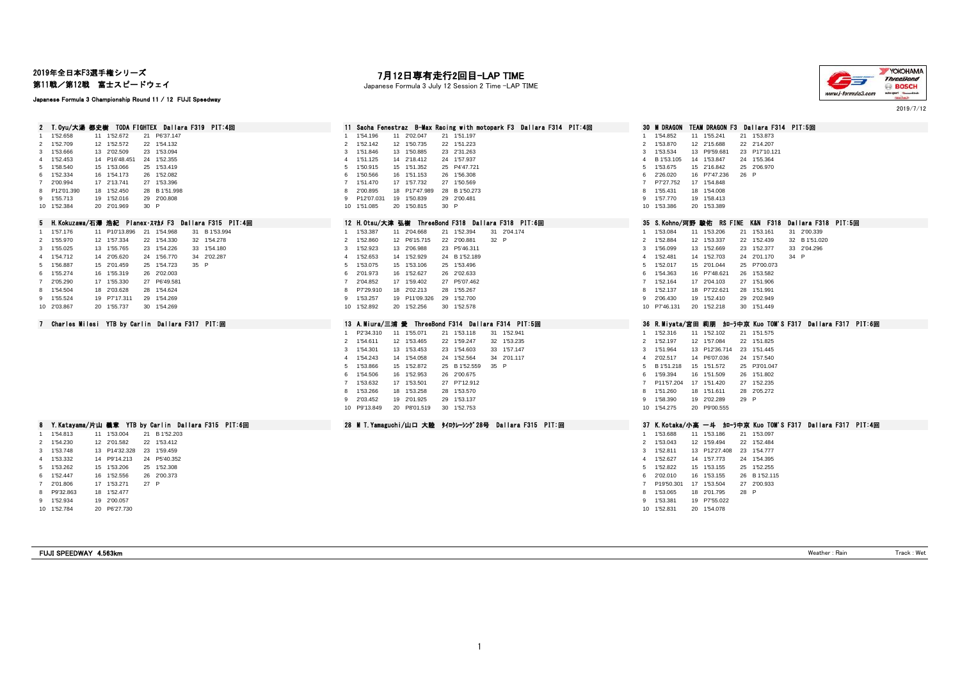# 2019年全日本F3選手権シリーズ

第11戦/第12戦 富士スピードウェイ

#### Japanese Formula 3 Championship Round 11 / 12 FUJI Speedway

# 7**月12日専有走行2回目―LAP TIME**<br>Japanese Formula 3 July 12 Session 2 Time ―LAP TIME



2019/7/12

| 2 T.Oyu/大湯 都史樹 TODA FIGHTEX Dallara F319 PIT:4回                                          | 11 Sacha Fenestraz B-Max Racing with motopark F3 Dallara F314 PIT:4回                          | 30 M DRAGON<br>TEAM DRAGON F3 Dallara F314 PIT:5回                |
|------------------------------------------------------------------------------------------|-----------------------------------------------------------------------------------------------|------------------------------------------------------------------|
| 1 1'52.658<br>11 1'52.672<br>21 P6'37.147                                                | 1'54.196<br>11 2'02.047<br>21 1'51.197                                                        | 1'54.852<br>11 1'55.241<br>21 1'53.873                           |
| 2 1'52.709<br>12 1'52.572<br>22 1'54.132                                                 | 12 1'50.735<br>1'52.142<br>22 1'51.223<br>2                                                   | 2 1'53.870<br>12 2'15.688<br>22 2'14.207                         |
| 3 1'53.666<br>13 2'02.509<br>23 1'53.094                                                 | 1'51.846<br>13 1'50.885<br>23 2'31.263<br>$\mathbf{3}$                                        | 13 P9'59.681<br>1'53.534<br>23 P17'10.121<br>$\mathbf{3}$        |
| 24 1'52.355<br>4 1'52.453<br>14 P16'48.451                                               | 14 2'18.412<br>1'51.125<br>24 1'57.937<br>$\overline{4}$                                      | 14 1'53.847<br>B 1'53.105<br>24 1'55.364<br>$\overline{4}$       |
| 5 1'58.540<br>15 1'53.066<br>25 1'53.419                                                 | 1'50.915<br>15 1'51.352<br>25 P4'47.721<br>5 <sub>5</sub>                                     | 1'53.675<br>15 2'16.842<br>25 2'06.970<br>5                      |
| 6 1'52.334<br>26 1'52.082<br>16 1'54.173                                                 | 1'50.566<br>16 1'51.153<br>26 1'56.308<br>6                                                   | 2'26.020<br>16 P7'47.236<br>26 P<br>6                            |
| 7 2'00.994<br>17 2'13.741<br>27 1'53.396                                                 | 17 1'57.732<br>7 1'51.470<br>27 1'50.569                                                      | P7'27.752<br>17 1'54.848<br>$\overline{7}$                       |
| 8 P12'01.390<br>18 1'52.450<br>28 B 1'51.998<br>9 1'55.713<br>19 1'52.016<br>29 2'00.808 | 2'00.895<br>18 P17'47.989<br>28 B 1'50.273<br>8<br>9 P12'07.031<br>19 1'50.839<br>29 2'00.481 | 1'55.431<br>18 1'54.008<br>8<br>19 1'58.413<br>9 1'57.770        |
| 10 1'52.384<br>20 2'01.969<br>30 P                                                       | 20 1'50.815<br>30 P<br>10 1'51.085                                                            | 10 1'53.386<br>20 1'53.389                                       |
|                                                                                          |                                                                                               |                                                                  |
| 5 H.Kokuzawa/石澤 浩紀 Planex・スマカメF3 Dallara F315 PIT:4回                                     | 12 H.Otsu/大津 弘樹 ThreeBond F318 Dallara F318 PIT:6回                                            | 35 S.Kohno/河野 駿佑 RS FINE K&N F318 Dallara F318 PIT:5回            |
| 1 1'57.176<br>11 P10'13.896 21 1'54.968<br>31 B 1'53.994                                 | 11 2'04.668<br>21 1'52.394<br>31 2'04.174<br>1 1'53.387                                       | 1 1'53.084<br>11 1'53.206<br>21 1'53.161<br>31 2'00.339          |
| 2 1'55.970<br>12 1'57.334<br>22 1'54.330<br>32 1'54.278                                  | 2 1'52,860<br>12 P6'15.715<br>22 2'00.881<br>32 P                                             | 2 1'52.884<br>12 1'53.337<br>22 1'52.439<br>32 B 1'51.020        |
| 13 1'55.765<br>23 1'54.226<br>33 1'54.180<br>3 1'55.025                                  | 13 2'06.988<br>23 P5'46.311<br>3 1'52.923                                                     | 3 1'56.099<br>13 1'52.669<br>23 1'52.377<br>33 2'04.296          |
| 4 1'54.712<br>14 2'05.620<br>24 1'56.770<br>34 2'02.287                                  | 1'52.653<br>14 1'52.929<br>24 B 1'52.189<br>$\overline{4}$                                    | 14 1'52.703<br>1'52.481<br>24 2'01.170<br>34 P<br>$\overline{4}$ |
| 5 1'56.887<br>25 1'54.723<br>35 P<br>15 2'01.459                                         | 15 1'53.106<br>25 1'53.496<br>1'53.075<br>5                                                   | 1'52.017<br>15 2'01.044<br>25 P7'00.073<br>5                     |
| 6 1'55.274<br>16 1'55.319<br>26 2'02.003                                                 | 6 2'01.973<br>16 1'52.627<br>26 2'02.633                                                      | 16 P7'48.621<br>1'54.363<br>26 1'53.582<br>6                     |
| 7 2'05.290<br>17 1'55.330<br>27 P6'49.581                                                | 2'04.852<br>17 1'59.402<br>27 P5'07.462<br>$\overline{7}$                                     | 1'52.164<br>17 2'04.103<br>27 1'51.906<br>$\overline{7}$         |
| 8 1'54.504<br>28 1'54.624<br>18 2'03.628                                                 | 8 P7'29.910<br>18 2'02.213<br>28 1'55.267                                                     | 1'52.137<br>18 P7'22.621<br>28 1'51.991<br>8                     |
| 9 1'55.524<br>29 1'54.269<br>19 P7'17.311                                                | 9 1'53.257<br>19 P11'09.326<br>29 1'52.700                                                    | 2'06.430<br>19 1'52.410<br>29 2'02.949<br>9                      |
| 10 2'03.867<br>20 1'55.737<br>30 1'54.269                                                | 10 1'52.892<br>20 1'52.256<br>30 1'52.578                                                     | 20 1'52.218<br>10 P7'46.131<br>30 1'51.449                       |
|                                                                                          |                                                                                               |                                                                  |
| 7 Charles Milesi YTB by Carlin Dallara F317 PIT:回                                        | 13 A.Miura/三浦 愛 ThreeBond F314 Dallara F314 PIT:5回                                            | 36 R.Miyata/宮田 莉朋 加—ラ中京 Kuo TOM'S F317 Dallara F317 PIT:6回       |
|                                                                                          | 1 P2'34.310<br>11 1'55.071<br>21 1'53.118<br>31 1'52.941                                      | 11 1'52.102<br>21 1'51.575<br>1 1'52.316                         |
|                                                                                          | 2 1'54.611<br>12 1'53.465<br>32 1'53.235<br>22 1'59.247                                       | 2 1'52.197<br>12 1'57.084<br>22 1'51.825                         |
|                                                                                          | 3 1'54.301<br>33 1'57.147<br>13 1'53.453<br>23 1'54.603                                       | 1'51.964<br>13 P12'36.714 23 1'51.445<br>3                       |
|                                                                                          | $\overline{4}$<br>1'54.243<br>14 1'54.058<br>24 1'52.564<br>34 2'01.117                       | 14 P6'07.036<br>24 1'57.540<br>2'02.517<br>$\overline{4}$        |
|                                                                                          | 1'53.866<br>15 1'52.872<br>25 B 1'52.559<br>35 P<br>5 <sup>5</sup>                            | 15 1'51.572<br>B 1'51.218<br>25 P3'01.047<br>5                   |
|                                                                                          | 1'54.506<br>16 1'52.953<br>26 2'00.675<br>6                                                   | 1'59.394<br>16 1'51.509<br>26 1'51.802<br>6                      |
|                                                                                          | 17 1'53.501<br>27 P7'12.912<br>1'53.632<br>$\overline{7}$                                     | P11'57.204<br>17 1'51.420<br>27 1'52.235<br>$\overline{7}$       |
|                                                                                          | 1'53.266<br>18 1'53.258<br>28 1'53.570<br>8                                                   | 1'51.260<br>18 1'51.611<br>28 2'05.272                           |
|                                                                                          | 19 2'01.925<br>29 1'53.137<br>9<br>2'03.452                                                   | 1'58.390<br>19 2'02.289<br>29 P<br>9                             |
|                                                                                          | 20 P8'01.519<br>30 1'52.753<br>10 P9'13.849                                                   | 10 1'54.275<br>20 P9'00.555                                      |
| 8 Y.Katayama/片山 義章 YTB by Carlin Dallara F315 PIT:6回                                     | 28 M T. Yamaguchi/山口 大陸 タイロクレーシング28号 Dallara F315 PIT:回                                       | 37 K.Kotaka/小高 一斗 加-ラ中京 Kuo TOM'S F317 Dallara F317 PIT:4回       |
| 1 1'54.813<br>11 1'53.004<br>21 B 1'52.203                                               |                                                                                               | 1 1'53.688<br>11 1'53.186<br>21 1'53.097                         |
| 2 1'54.230<br>12 2'01.582<br>22 1'53.412                                                 |                                                                                               | 12 1'59.494<br>2 1'53.043<br>22 1'52.484                         |
| 23 1'59.459<br>3 1'53.748<br>13 P14'32.328                                               |                                                                                               | 3 1'52.811<br>13 P12'27.408<br>23 1'54.777                       |
| 24 P5'40.352<br>4 1'53.332<br>14 P9'14.213                                               |                                                                                               | 1'52.627<br>14 1'57.773<br>24 1'54.395<br>$\overline{4}$         |
| 5 1'53.262<br>15 1'53.206<br>25 1'52.308                                                 |                                                                                               | 5 1'52.822<br>15 1'53.155<br>25 1'52.255                         |
| 6 1'52.447<br>26 2'00.373<br>16 1'52.556                                                 |                                                                                               | 16 1'53.155<br>2'02.010<br>26 B 1'52.115<br>6                    |
| 27 P<br>7 2'01.806<br>17 1'53.271                                                        |                                                                                               | P19'50.301<br>17 1'53.504<br>27 2'00.933<br>7                    |
| 8 P9'32.863<br>18 1'52.477                                                               |                                                                                               | 1'53.065<br>18 2'01.795<br>28 P<br>8                             |
| 9 1'52.934<br>19 2'00.057                                                                |                                                                                               | 9 1'53.381<br>19 P7'55.022                                       |
| 10 1'52.784<br>20 P6'27.730                                                              |                                                                                               | 10 1'52.831<br>20 1'54.078                                       |
|                                                                                          |                                                                                               |                                                                  |
|                                                                                          |                                                                                               |                                                                  |

FUJI SPEEDWAY 4.563km Weather : Rain Track : Wet